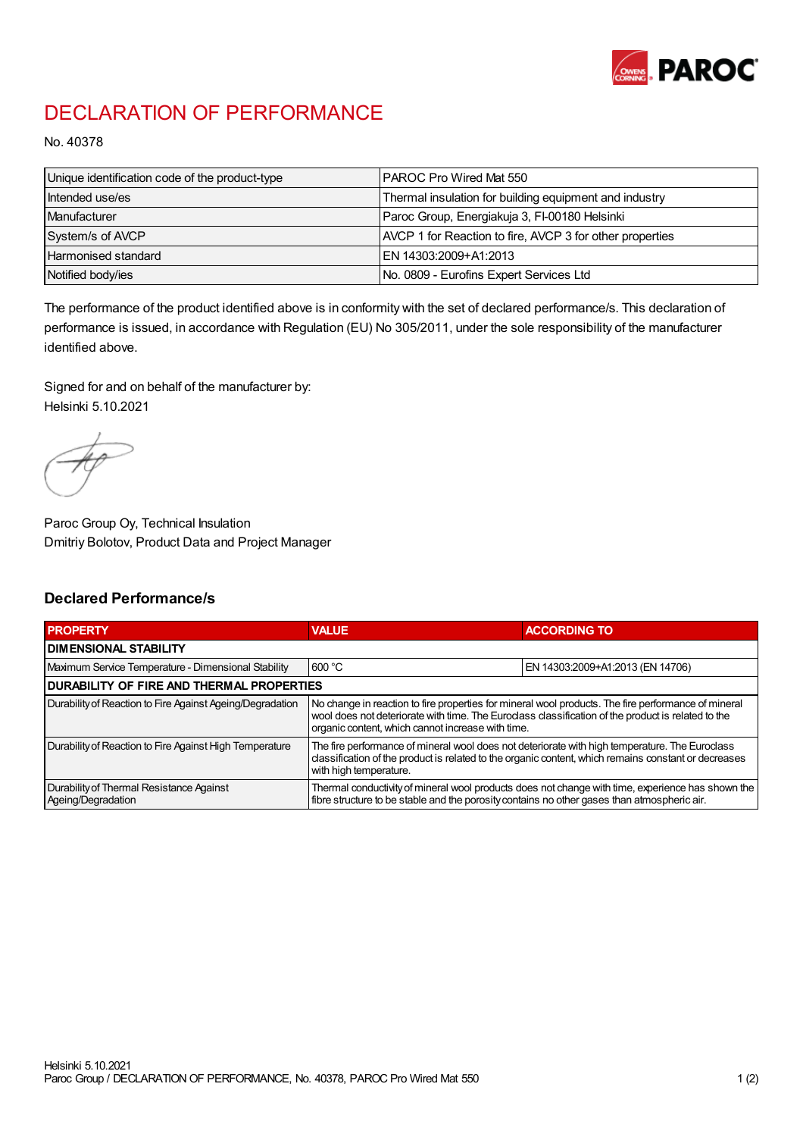

## DECLARATION OF PERFORMANCE

No. 40378

| Unique identification code of the product-type | IPAROC Pro Wired Mat 550                                 |
|------------------------------------------------|----------------------------------------------------------|
| Intended use/es                                | Thermal insulation for building equipment and industry   |
| Manufacturer                                   | Paroc Group, Energiakuja 3, FI-00180 Helsinki            |
| System/s of AVCP                               | AVCP 1 for Reaction to fire, AVCP 3 for other properties |
| Harmonised standard                            | IEN 14303:2009+A1:2013                                   |
| Notified body/ies                              | No. 0809 - Eurofins Expert Services Ltd                  |

The performance of the product identified above is in conformity with the set of declared performance/s. This declaration of performance is issued, in accordance with Regulation (EU) No 305/2011, under the sole responsibility of the manufacturer identified above.

Signed for and on behalf of the manufacturer by: Helsinki 5.10.2021

Paroc Group Oy, Technical Insulation Dmitriy Bolotov, Product Data and Project Manager

## Declared Performance/s

| <b>PROPERTY</b>                                                | <b>VALUE</b>                                                                                                                                                                                                                                                   | <b>ACCORDING TO.</b>             |  |
|----------------------------------------------------------------|----------------------------------------------------------------------------------------------------------------------------------------------------------------------------------------------------------------------------------------------------------------|----------------------------------|--|
| <b>DIMENSIONAL STABILITY</b>                                   |                                                                                                                                                                                                                                                                |                                  |  |
| Maximum Service Temperature - Dimensional Stability            | 600 °C                                                                                                                                                                                                                                                         | EN 14303:2009+A1:2013 (EN 14706) |  |
| <b>DURABILITY OF FIRE AND THERMAL PROPERTIES</b>               |                                                                                                                                                                                                                                                                |                                  |  |
| Durability of Reaction to Fire Against Ageing/Degradation      | No change in reaction to fire properties for mineral wool products. The fire performance of mineral<br>wool does not deteriorate with time. The Euroclass classification of the product is related to the<br>organic content, which cannot increase with time. |                                  |  |
| Durability of Reaction to Fire Against High Temperature        | The fire performance of mineral wool does not deteriorate with high temperature. The Euroclass<br>classification of the product is related to the organic content, which remains constant or decreases<br>with high temperature.                               |                                  |  |
| Durability of Thermal Resistance Against<br>Ageing/Degradation | Thermal conductivity of mineral wool products does not change with time, experience has shown the<br>fibre structure to be stable and the porosity contains no other gases than atmospheric air.                                                               |                                  |  |